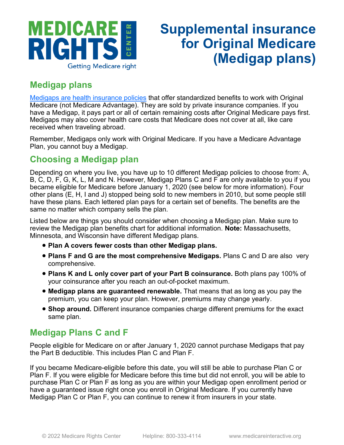

# **Supplemental insurance for Original Medicare (Medigap plans)**

### **Medigap plans**

[Medigaps are health insurance policies](https://www.medicareinteractive.org/get-answers/medicare-health-coverage-options/supplemental-insurance-for-original-medicare-medigaps/medigap-overview) that offer standardized benefits to work with Original Medicare (not Medicare Advantage). They are sold by private insurance companies. If you have a Medigap, it pays part or all of certain remaining costs after Original Medicare pays first. Medigaps may also cover health care costs that Medicare does not cover at all, like care received when traveling abroad.

Remember, Medigaps only work with Original Medicare. If you have a Medicare Advantage Plan, you cannot buy a Medigap.

#### **Choosing a Medigap plan**

Depending on where you live, you have up to 10 different Medigap policies to choose from: A, B, C, D, F, G, K, L, M and N. However, Medigap Plans C and F are only available to you if you became eligible for Medicare before January 1, 2020 (see below for more information). Four other plans (E, H, I and J) stopped being sold to new members in 2010, but some people still have these plans. Each lettered plan pays for a certain set of benefits. The benefits are the same no matter which company sells the plan.

Listed below are things you should consider when choosing a Medigap plan. Make sure to review the Medigap plan benefits chart for additional information. **Note:** Massachusetts, Minnesota, and Wisconsin have different Medigap plans.

- **Plan A covers fewer costs than other Medigap plans.**
- **Plans F and G are the most comprehensive Medigaps.** Plans C and D are also very comprehensive.
- **Plans K and L only cover part of your Part B coinsurance.** Both plans pay 100% of your coinsurance after you reach an out-of-pocket maximum.
- **Medigap plans are guaranteed renewable.** That means that as long as you pay the premium, you can keep your plan. However, premiums may change yearly.
- **Shop around.** Different insurance companies charge different premiums for the exact same plan.

#### **Medigap Plans C and F**

People eligible for Medicare on or after January 1, 2020 cannot purchase Medigaps that pay the Part B deductible. This includes Plan C and Plan F.

If you became Medicare-eligible before this date, you will still be able to purchase Plan C or Plan F. If you were eligible for Medicare before this time but did not enroll, you will be able to purchase Plan C or Plan F as long as you are within your Medigap open enrollment period or have a guaranteed issue right once you enroll in Original Medicare. If you currently have Medigap Plan C or Plan F, you can continue to renew it from insurers in your state.